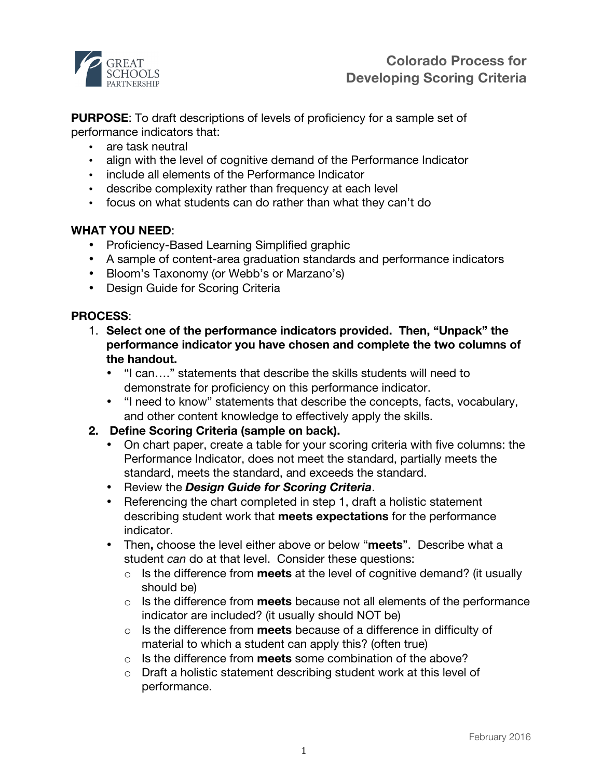

**PURPOSE**: To draft descriptions of levels of proficiency for a sample set of performance indicators that:

- are task neutral
- align with the level of cognitive demand of the Performance Indicator
- include all elements of the Performance Indicator
- describe complexity rather than frequency at each level
- focus on what students can do rather than what they can't do

## **WHAT YOU NEED**:

- Proficiency-Based Learning Simplified graphic
- A sample of content-area graduation standards and performance indicators
- Bloom's Taxonomy (or Webb's or Marzano's)
- Design Guide for Scoring Criteria

## **PROCESS**:

- 1. **Select one of the performance indicators provided. Then, "Unpack" the performance indicator you have chosen and complete the two columns of the handout.**
	- "I can…." statements that describe the skills students will need to demonstrate for proficiency on this performance indicator.
	- "I need to know" statements that describe the concepts, facts, vocabulary, and other content knowledge to effectively apply the skills.
- **2. Define Scoring Criteria (sample on back).**
	- On chart paper, create a table for your scoring criteria with five columns: the Performance Indicator, does not meet the standard, partially meets the standard, meets the standard, and exceeds the standard.
	- Review the *Design Guide for Scoring Criteria*.
	- Referencing the chart completed in step 1, draft a holistic statement describing student work that **meets expectations** for the performance indicator.
	- Then**,** choose the level either above or below "**meets**". Describe what a student *can* do at that level. Consider these questions:
		- o Is the difference from **meets** at the level of cognitive demand? (it usually should be)
		- o Is the difference from **meets** because not all elements of the performance indicator are included? (it usually should NOT be)
		- o Is the difference from **meets** because of a difference in difficulty of material to which a student can apply this? (often true)
		- o Is the difference from **meets** some combination of the above?
		- o Draft a holistic statement describing student work at this level of performance.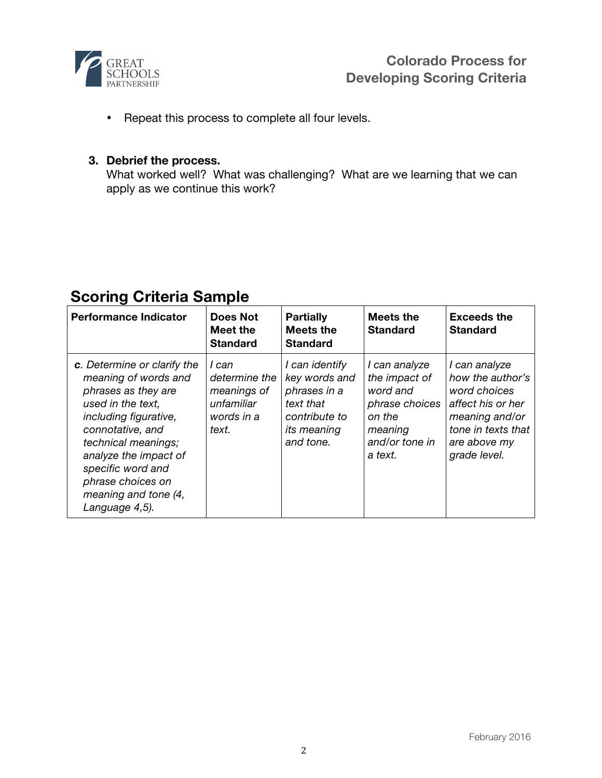

• Repeat this process to complete all four levels.

## **3. Debrief the process.**

What worked well? What was challenging? What are we learning that we can apply as we continue this work?

# **Scoring Criteria Sample**

| <b>Performance Indicator</b>                                                                                                                                                                                                                                                     | <b>Does Not</b><br>Meet the<br><b>Standard</b>                             | <b>Partially</b><br><b>Meets the</b><br><b>Standard</b>                                                   | <b>Meets the</b><br><b>Standard</b>                                                                            | <b>Exceeds the</b><br><b>Standard</b>                                                                                                          |
|----------------------------------------------------------------------------------------------------------------------------------------------------------------------------------------------------------------------------------------------------------------------------------|----------------------------------------------------------------------------|-----------------------------------------------------------------------------------------------------------|----------------------------------------------------------------------------------------------------------------|------------------------------------------------------------------------------------------------------------------------------------------------|
| c. Determine or clarify the<br>meaning of words and<br>phrases as they are<br>used in the text.<br>including figurative,<br>connotative, and<br>technical meanings;<br>analyze the impact of<br>specific word and<br>phrase choices on<br>meaning and tone (4,<br>Language 4,5). | I can<br>determine the<br>meanings of<br>unfamiliar<br>words in a<br>text. | I can identify<br>key words and<br>phrases in a<br>text that<br>contribute to<br>its meaning<br>and tone. | I can analyze<br>the impact of<br>word and<br>phrase choices<br>on the<br>meaning<br>and/or tone in<br>a text. | I can analyze<br>how the author's<br>word choices<br>affect his or her<br>meaning and/or<br>tone in texts that<br>are above my<br>grade level. |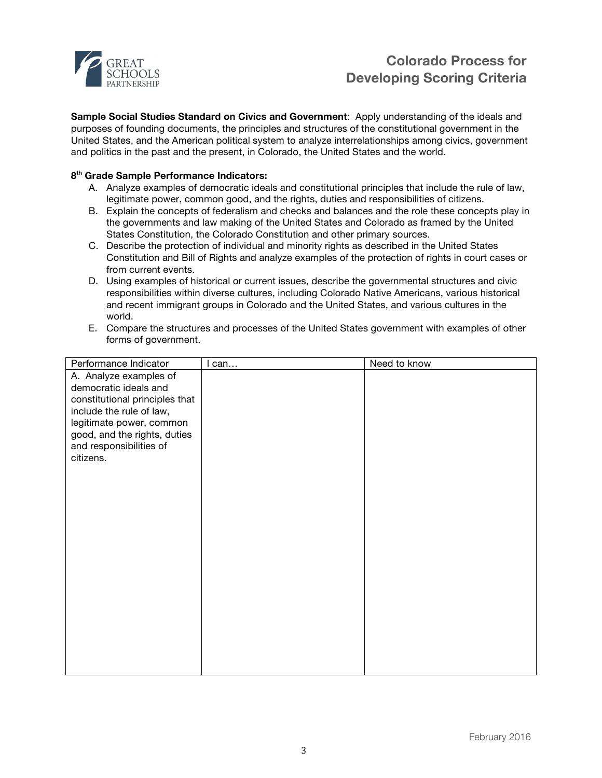

## **Colorado Process for Developing Scoring Criteria**

**Sample Social Studies Standard on Civics and Government**: Apply understanding of the ideals and purposes of founding documents, the principles and structures of the constitutional government in the United States, and the American political system to analyze interrelationships among civics, government and politics in the past and the present, in Colorado, the United States and the world.

#### **8th Grade Sample Performance Indicators:**

- A. Analyze examples of democratic ideals and constitutional principles that include the rule of law, legitimate power, common good, and the rights, duties and responsibilities of citizens.
- B. Explain the concepts of federalism and checks and balances and the role these concepts play in the governments and law making of the United States and Colorado as framed by the United States Constitution, the Colorado Constitution and other primary sources.
- C. Describe the protection of individual and minority rights as described in the United States Constitution and Bill of Rights and analyze examples of the protection of rights in court cases or from current events.
- D. Using examples of historical or current issues, describe the governmental structures and civic responsibilities within diverse cultures, including Colorado Native Americans, various historical and recent immigrant groups in Colorado and the United States, and various cultures in the world.
- E. Compare the structures and processes of the United States government with examples of other forms of government.

| Performance Indicator                | I can | Need to know |
|--------------------------------------|-------|--------------|
| A. Analyze examples of               |       |              |
| democratic ideals and                |       |              |
| constitutional principles that       |       |              |
| include the rule of law,             |       |              |
| legitimate power, common             |       |              |
| good, and the rights, duties         |       |              |
| and responsibilities of<br>citizens. |       |              |
|                                      |       |              |
|                                      |       |              |
|                                      |       |              |
|                                      |       |              |
|                                      |       |              |
|                                      |       |              |
|                                      |       |              |
|                                      |       |              |
|                                      |       |              |
|                                      |       |              |
|                                      |       |              |
|                                      |       |              |
|                                      |       |              |
|                                      |       |              |
|                                      |       |              |
|                                      |       |              |
|                                      |       |              |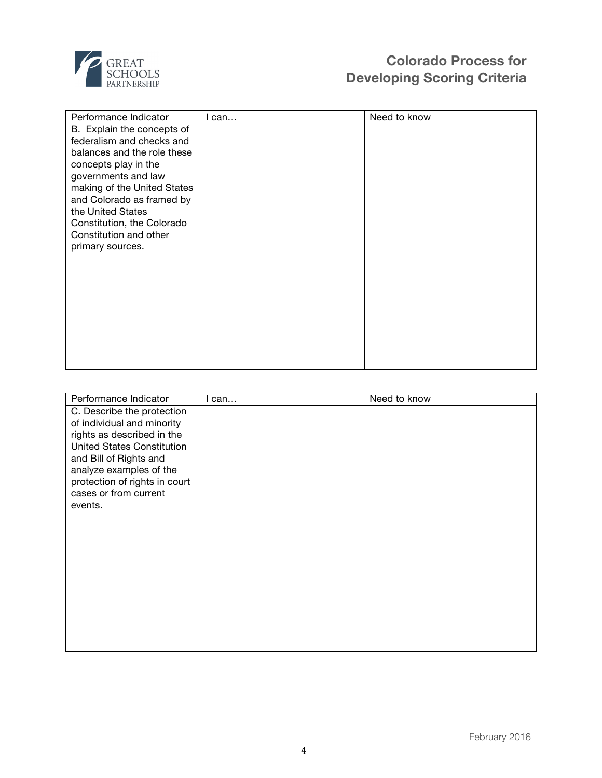

# **Colorado Process for Developing Scoring Criteria**

| Performance Indicator       | I can | Need to know |
|-----------------------------|-------|--------------|
| B. Explain the concepts of  |       |              |
| federalism and checks and   |       |              |
| balances and the role these |       |              |
| concepts play in the        |       |              |
| governments and law         |       |              |
| making of the United States |       |              |
| and Colorado as framed by   |       |              |
| the United States           |       |              |
| Constitution, the Colorado  |       |              |
| Constitution and other      |       |              |
| primary sources.            |       |              |
|                             |       |              |
|                             |       |              |
|                             |       |              |
|                             |       |              |
|                             |       |              |
|                             |       |              |
|                             |       |              |
|                             |       |              |
|                             |       |              |
|                             |       |              |

| Performance Indicator             | can | Need to know |
|-----------------------------------|-----|--------------|
| C. Describe the protection        |     |              |
| of individual and minority        |     |              |
| rights as described in the        |     |              |
| <b>United States Constitution</b> |     |              |
| and Bill of Rights and            |     |              |
| analyze examples of the           |     |              |
| protection of rights in court     |     |              |
| cases or from current             |     |              |
| events.                           |     |              |
|                                   |     |              |
|                                   |     |              |
|                                   |     |              |
|                                   |     |              |
|                                   |     |              |
|                                   |     |              |
|                                   |     |              |
|                                   |     |              |
|                                   |     |              |
|                                   |     |              |
|                                   |     |              |